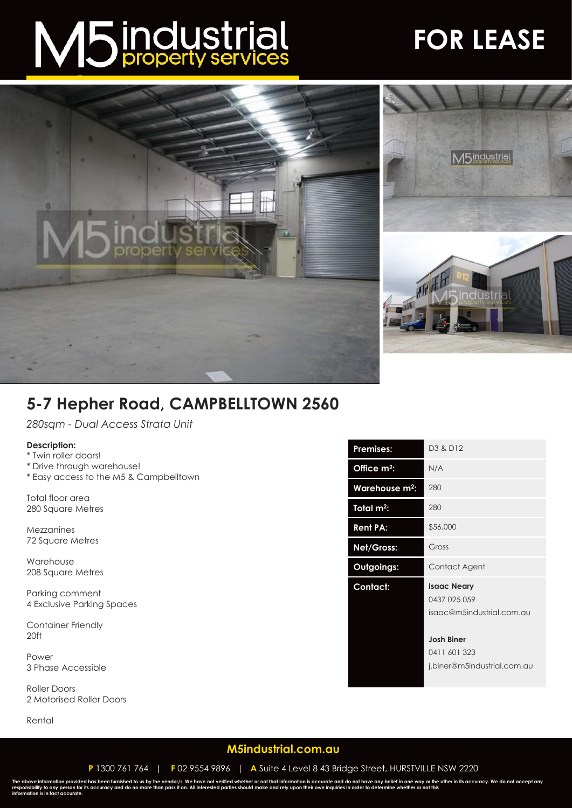# M5 industrial

## **FOR LEASE**





### **5-7 Hepher Road, CAMPBELLTOWN 2560**

*280sqm - Dual Access Strata Unit*

#### **Description:**

- \* Twin roller doors!
- \* Drive through warehouse!
- \* Easy access to the M5 & Campbelltown

Total floor area 280 Square Metres

Mezzanines 72 Square Metres

Warehouse 208 Square Metres

Parking comment 4 Exclusive Parking Spaces

Container Friendly 20ft

Power 3 Phase Accessible

Roller Doors 2 Motorised Roller Doors

Rental

| <b>Premises:</b>           | D <sub>3</sub> & D <sub>12</sub>                                 |
|----------------------------|------------------------------------------------------------------|
| Office m <sup>2</sup> :    | N/A                                                              |
| Warehouse m <sup>2</sup> : | 280                                                              |
| Total $m^2$ :              | 280                                                              |
| <b>Rent PA:</b>            | \$56,000                                                         |
| Net/Gross:                 | Gross                                                            |
| Outgoings:                 | Contact Agent                                                    |
| Contact:                   | <b>Isaac Neary</b><br>0437 025 059<br>isaac@m5industrial.com.au  |
|                            | <b>Josh Biner</b><br>0411 601 323<br>j.biner@m5industrial.com.au |

#### **[M5industrial.com.au](http://www.m5industrial.com.au/)**

**P** 1300 761 764 | **F** 02 9554 9896 | **A** Suite 4 Level 8 43 Bridge Street, HURSTVILLE NSW 2220

The above information provided has been furnished to us by the vendor/s. We have not verified whether or not that information is accurate and do not have any belief in one way or the other in its accuracy. We do not accept **information is in fact accurate.**